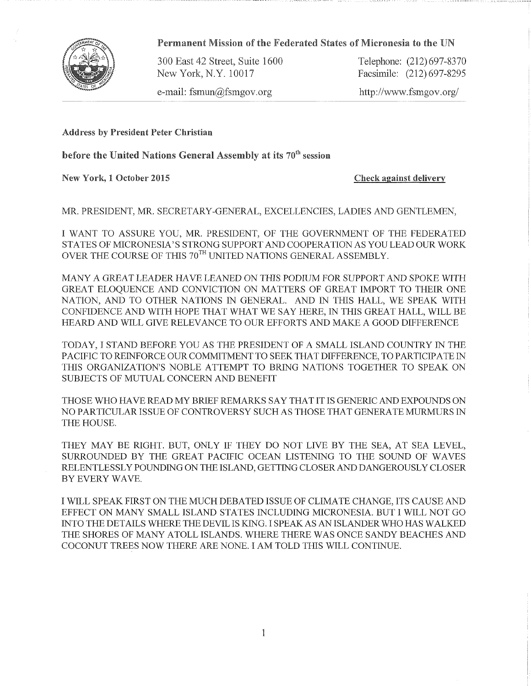

Permanent Mission of the Federated States of Micronesia to the UN

300 East 42 Street, Suite 1600 Telephone: (212)697-8370 New York, N.Y. 10017 Facsimile: (212) 697-8295

e-mail: fsmun@fsmgov.org http://www.fsmgov.org/

Address by President Peter Christian

before the United Nations General Assembly at its  $70<sup>th</sup>$  session

New York, 1 October 2015 Check against delivery

MR. PRESIDENT, MR. SECRETARY-GENERAL, EXCELLENCIES, LADIES AND GENTLEMEN,

I WANT TO ASSURE YOU, MR. PRESIDENT, OF THE GOVERNMENT OF THE FEDERATED STATES OF MICRONESIA' S STRONG SUPPORT AND COOPERATION AS YOU LEAD OUR WORK OVER THE COURSE OF THIS  $70^{TH}$  UNITED NATIONS GENERAL ASSEMBLY.

MANY A GREAT LEADER HAVE LEANED ON THIS PODIUM FOR SUPPORT AND SPOKE WITH GREAT ELOQUENCE AND CONVICTION ON MATTERS OF GREAT IMPORT TO THEIR ONE NATION, AND TO OTHER NATIONS IN GENERAL. AND IN THIS HALL, WE SPEAK WITH CONFIDENCE AND WITH HOPE THAT WHAT WE SAY HERE, IN THIS GREAT HALL, WILL BE HEARD AND WILL GIVE RELEVANCE TO OUR EFFORTS AND MAKE A GOOD DIFFERENCE

TODAY, I STAND BEFORE YOU AS THE PRESIDENT OF A SMALL ISLAND COUNTRY 1N THE PACIFIC TO REINFORCE OUR COMMITMENT TO SEEK THAT DIFFERENCE, TO PARTICIPATE IN THIS ORGANIZATION'S NOBLE ATTEMPT TO BRING NATIONS TOGETHER TO SPEAK ON SUBJECTS OF MUTUAL CONCERN AND BENEFIT

THOSE WHO HAVE READ MY BRIEF REMARKS SAY THAT IT IS GENERIC AND EXPOUNDS ON NO PARTICULAR ISSUE OF CONTROVERSY SUCH AS THOSE THAT GENERATE MURMURS IN THE HOUSE.

THEY MAY BE RIGHT. BUT, ONLY IF THEY DO NOT LIVE BY THE SEA, AT SEA LEVEL, SURROUNDED BY THE GREAT PACIFIC OCEAN LISTENING TO THE SOUND OF WAVES RELENTLESSLY POUNDING ON THE ISLAND, GETTING CLOSER AND DANGEROUSLY CLOSER BY EVERY WAVE.

I WILL SPEAK FIRST ON THE MUCH DEBATED ISSUE OF CLIMATE CHANGE, ITS CAUSE AND EFFECT ON MANY SMALL ISLAND STATES INCLUDING MICRONESIA. BUT I WILL NOT GO INTO THE DETAILS WHERE THE DEVIL IS KING. I SPEAK AS AN ISLANDER WHO HAS WALKED THE SHORES OF MANY ATOLL ISLANDS. WHERE THERE WAS ONCE SANDY BEACHES AND COCONUT TREES NOW THERE ARE NONE. I AM TOLD THIS WILL CONTINUE.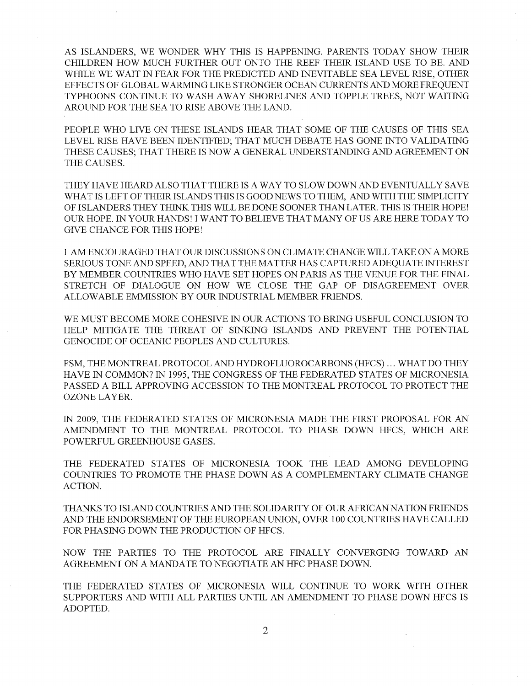AS ISLANDERS, WE WONDER WHY THIS IS HAPPENING. PARENTS TODAY SHOW THEIR CHILDREN HOW MUCH FURTHER OUT ONTO THE REEF THEIR ISLAND USE TO BE. AND WHILE WE WAIT IN FEAR FOR THE PREDICTED AND INEVITABLE SEA LEVEL RISE, OTHER EFFECTS OF GLOBAL WARMING LIKE STRONGER OCEAN CURRENTS AND MORE FREQUENT TYPHOONS CONTINUE TO WASH AWAY SHORELINES AND TOPPLE TREES, NOT WAITING AROUND FOR THE SEA TO RISE ABOVE THE LAND.

PEOPLE WHO LIVE ON THESE ISLANDS HEAR THAT SOME OF THE CAUSES OF THIS SEA LEVEL RISE HAVE BEEN IDENTIFIED; THAT MUCH DEBATE HAS GONE INTO VALIDATING THESE CAUSES; THAT THERE IS NOW A GENERAL UNDERSTANDING AND AGREEMENT ON THE CAUSES.

THEY HAVE HEARD ALSO THAT THERE IS A WAY TO SLOW DOWN AND EVENTUALLY SAVE WHAT IS LEFT OF THEIR ISLANDS THIS IS GOOD NEWS TO THEM, AND WITH THE SIMPLICITY OF ISLANDERS THEY THINK THIS WILL BE DONE SOONER THAN LATER. THIS IS THEIR HOPE! OUR HOPE. 1N YOUR HANDS! I WANT TO BELIEVE THAT MANY OF US ARE HERE TODAY TO GIVE CHANCE FOR THIS HOPE!

I AM ENCOURAGED THAT OUR DISCUSSIONS ON CLIMATE CHANGE WILL TAKE ON A MORE SERIOUS TONE AND SPEED, AND THAT THE MATTER HAS CAPTURED ADEQUATE INTEREST BY MEMBER COUNTRIES WHO HAVE SET HOPES ON PARIS AS THE VENUE FOR THE FINAL STRETCH OF DIALOGUE ON HOW WE CLOSE THE GAP OF DISAGREEMENT OVER ALLOWABLE EMMISSION BY OUR INDUSTRIAL MEMBER FRIENDS.

WE MUST BECOME MORE COHESIVE IN OUR ACTIONS TO BRING USEFUL CONCLUSION TO HELP MITIGATE THE THREAT OF SINKING ISLANDS AND PREVENT THE POTENTIAL GENOCIDE OF OCEANIC PEOPLES AND CULTURES.

FSM, THE MONTREAL PROTOCOL AND HYDROFLUOROCARBONS (HECS) ... WHAT DO THEY HAVE IN COMMON? 1N 1995, THE CONGRESS OF THE FEDERATED STATES OF MICRONESIA PASSED A BILL APPROVING ACCESSION TO THE MONTREAL PROTOCOL TO PROTECT THE OZONE LAYER.

IN 2009, THE FEDERATED STATES OF MICRONESIA MADE THE FIRST PROPOSAL FOR AN AMENDMENT TO THE MONTREAL PROTOCOL TO PHASE DOWN HFCS, WHICH ARE POWERFUL GREENHOUSE GASES.

THE FEDERATED STATES OF MICRONESIA TOOK THE LEAD AMONG DEVELOPING COUNTRIES TO PROMOTE THE PHASE DOWN AS A COMPLEMENTARY CLIMATE CHANGE ACTION.

THANKS TO ISLAND COUNTRIES AND THE SOLIDARITY OF OUR AFRICAN NATION FRIENDS AND THE ENDORSEMENT OF THE EUROPEAN UNION, OVER 100 COUNTRIES HAVE CALLED FOR PHASING DOWN THE PRODUCTION OF HFCS.

NOW THE PARTIES TO THE PROTOCOL ARE FINALLY CONVERGING TOWARD AN AGREEMENT ON A MANDATE TO NEGOTIATE AN HFC PHASE DOWN.

THE FEDERATED STATES OF MICRONESIA WILL CONTINUE TO WORK WITH OTHER SUPPORTERS AND WITH ALL PARTIES UNTIL AN AMENDMENT TO PHASE DOWN HFCS IS ADOPTED.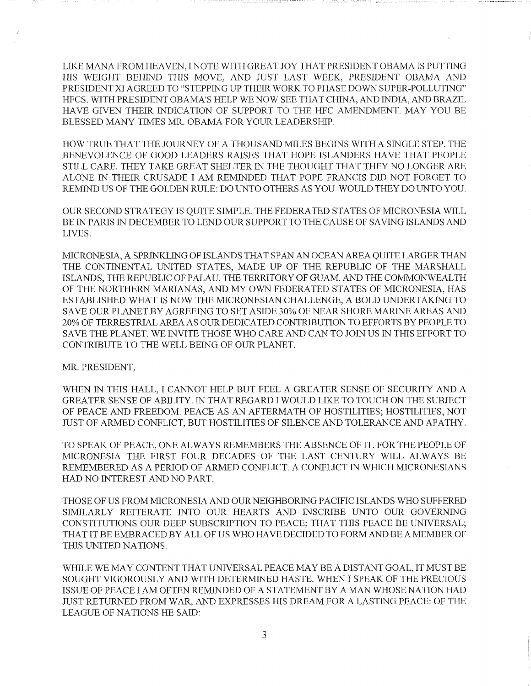LIKE MANA FROM HEAVEN, I NOTE WITH GREAT JOY THAT PRESIDENT OBAMA IS PUTTING HIS WEIGHT BEHIND THIS MOVE, AND JUST LAST WEEK, PRESIDENT OBAMA AND PRESIDENT XI AGREED TO "STEPPING UP THEIR WORK TO PHASE DOWN SUPER-POLLUTING" HFCS. WITH PRESIDENT OBAMA'S HELP WE NOW SEE THAT CHINA, AND INDIA, AND BRAZIL HAVE GIVEN THEIR INDICATION OF SUPPORT TO THE HEC AMENDMENT. MAY YOU BE BLESSED MANY TIMES MR. OBAMA FOR YOUR LEADERSHIP.

HOW TRUE THAT THE JOURNEY OF A THOUSAND MILES BEGINS WITH A SINGLE STEP. THE BENEVOLENCE OF GOOD LEADERS RAISES THAT HOPE ISLANDERS HAVE THAT PEOPLE STILL CARE. THEY TAKE GREAT SHELTER IN THE THOUGHT THAT THEY NO LONGER ARE ALONE IN THEIR CRUSADE I AM REMINDED THAT POPE FRANCIS DID NOT FORGET TO REMIND US OF THE GOLDEN RULE: DO UNTO OTHERS AS YOU WOULD THEY DO UNTO YOU.

OUR SECOND STRATEGY IS QUITE SIMPLE. THE FEDERATED STATES OF MICRONESIA WILL BE IN PARIS IN DECEMBER TO LEND OUR SUPPORT TO THE CAUSE OF SAVING ISLANDS AND LIVES.

MICRONESIA, A SPRINKLING OF ISLANDS THAT SPAN AN OCEAN AREA QUITE LARGER THAN THE CONTINENTAL UNITED STATES, MADE UP OF THE REPUBLIC OF THE MARSHALL ISLANDS, THE REPUBLIC OF PALAU, THE TERRITORY OF GUAM, AND THE COMMONWEALTH OF THE NORTHERN MARIANAS, AND MY OWN FEDERATED STATES OF MICRONESIA, HAS ESTABLISHED WHAT IS NOW THE MICRONESIAN CHALLENGE, A BOLD UNDERTAKING TO SAVE OUR PLANET BY AGREEING TO SET ASIDE 30% OF NEAR SHORE MARINE AREAS AND 20% OF TERRESTRIAL AREA AS OUR DEDICATED CONTRIBUTION TO EFFORTS BY PEOPLE TO SAVE THE PLANET. WE INVITE THOSE WHO CARE AND CAN TO JOIN US IN THIS EFFORT TO CONTRIBUTE TO THE WELL BEING OF OUR PLANET.

MR. PRESIDENT,

WHEN IN THIS HALL, I CANNOT HELP BUT FEEL A GREATER SENSE OF SECURITY AND A GREATER SENSE OF ABILITY. IN THAT REGARD I WOULD LIKE TO TOUCH ON THE SUBJECT OF PEACE AND FREEDOM. PEACE AS AN AFTERMATH OF HOSTILITIES; HOSTILITIES, NOT JUST OF ARMED CONFLICT, BUT HOSTILITIES OF SILENCE AND TOLERANCE AND APATHY.

TO SPEAK OF PEACE, ONE ALWAYS REMEMBERS THE ABSENCE OF IT. FOR THE PEOPLE OF MICRONESIA THE FIRST FOUR DECADES OF THE LAST CENTURY WILL ALWAYS BE REMEMBERED AS A PERIOD OF ARMED CONFLICT. A CONFLICT IN WHICH MICRONESIANS HAD NO INTEREST AND NO PART.

THOSE OF US FROM MICRONESIA AND OUR NEIGFIBORING PACIFIC ISLANDS WHO SUFFERED SIMILARLY REITERATE INTO OUR HEARTS AND INSCRIBE UNTO OUR GOVERNING CONSTITUTIONS OUR DEEP SUBSCRIPTION TO PEACE; THAT THIS PEACE BE UNIVERSAL; THAT IT BE EMBRACED BY ALL OF US WHO HAVE DECIDED TO FORM AND BE A MEMBER OF THIS UNITED NATIONS.

WHILE WE MAY CONTENT THAT UNIVERSAL PEACE MAY BE A DISTANT GOAL, IT MUST BE SOUGHT VIGOROUSLY AND WITH DETERMINED HASTE. WHEN I SPEAK OF THE PRECIOUS ISSUE OF PEACE I AM OFTEN REMINDED OF A STATEMENT BY A MAN WHOSE NATION HAD JUST RETURNED FROM WAR, AND EXPRESSES HIS DREAM FOR A LASTING PEACE: OF THE LEAGUE OF NATIONS HE SAID: